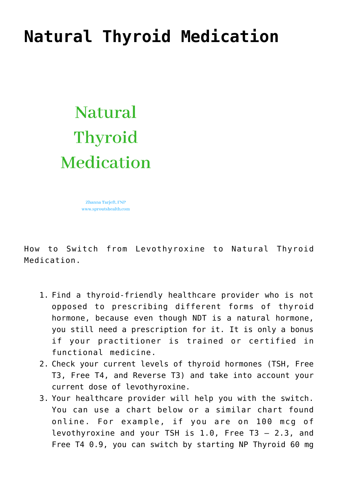## **[Natural Thyroid Medication](https://sproutshealth.com/natural-thyroid-medication/)**

## **Natural Thyroid Medication**

Zhanna Tarjeft, FNP www.sproutshealth.com

How to Switch from Levothyroxine to Natural Thyroid Medication.

- 1. Find a thyroid-friendly healthcare provider who is not opposed to prescribing different forms of thyroid hormone, because even though NDT is a natural hormone, you still need a prescription for it. It is only a bonus if your practitioner is trained or certified in functional medicine.
- 2. Check your current levels of thyroid hormones (TSH, Free T3, Free T4, and Reverse T3) and take into account your current dose of levothyroxine.
- 3. Your healthcare provider will help you with the switch. You can use a chart below or a similar chart found online. For example, if you are on 100 mcg of levothyroxine and your TSH is  $1.0$ , Free T3 - 2.3, and Free T4 0.9, you can switch by starting NP Thyroid 60 mg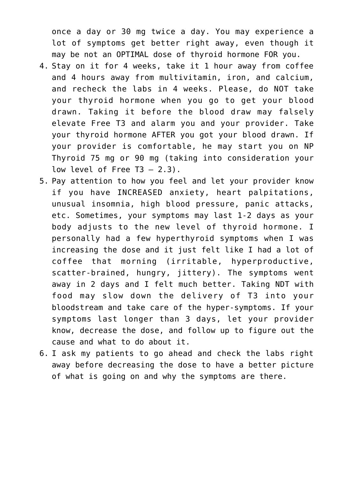once a day or 30 mg twice a day. You may experience a lot of symptoms get better right away, even though it may be not an OPTIMAL dose of thyroid hormone FOR you.

- 4. Stay on it for 4 weeks, take it 1 hour away from coffee and 4 hours away from multivitamin, iron, and calcium, and recheck the labs in 4 weeks. Please, do NOT take your thyroid hormone when you go to get your blood drawn. Taking it before the blood draw may falsely elevate Free T3 and alarm you and your provider. Take your thyroid hormone AFTER you got your blood drawn. If your provider is comfortable, he may start you on NP Thyroid 75 mg or 90 mg (taking into consideration your low level of Free  $T3 - 2.3$ ).
- 5. Pay attention to how you feel and let your provider know if you have INCREASED anxiety, heart palpitations, unusual insomnia, high blood pressure, panic attacks, etc. Sometimes, your symptoms may last 1-2 days as your body adjusts to the new level of thyroid hormone. I personally had a few hyperthyroid symptoms when I was increasing the dose and it just felt like I had a lot of coffee that morning (irritable, hyperproductive, scatter-brained, hungry, jittery). The symptoms went away in 2 days and I felt much better. Taking NDT with food may slow down the delivery of T3 into your bloodstream and take care of the hyper-symptoms. If your symptoms last longer than 3 days, let your provider know, decrease the dose, and follow up to figure out the cause and what to do about it.
- 6. I ask my patients to go ahead and check the labs right away before decreasing the dose to have a better picture of what is going on and why the symptoms are there.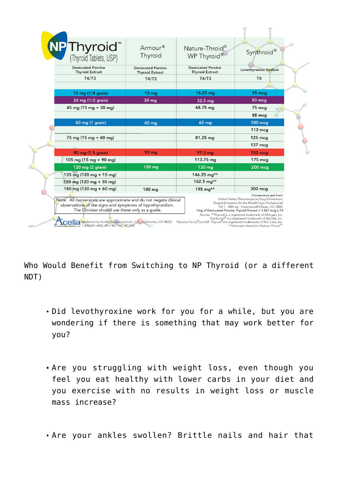|                                                                                                                                                                                                                                                                                                                                                                                                                                                                                                                                                                                                                                                                                                               | MPThyroid <sup>Th</sup> (Thyroid Tablets, USP)      | Armour®<br>Thyroid                                  | Nature-Throid <sup>®</sup><br>WP Thyroid®           | Synthroid®            |  |
|---------------------------------------------------------------------------------------------------------------------------------------------------------------------------------------------------------------------------------------------------------------------------------------------------------------------------------------------------------------------------------------------------------------------------------------------------------------------------------------------------------------------------------------------------------------------------------------------------------------------------------------------------------------------------------------------------------------|-----------------------------------------------------|-----------------------------------------------------|-----------------------------------------------------|-----------------------|--|
|                                                                                                                                                                                                                                                                                                                                                                                                                                                                                                                                                                                                                                                                                                               | <b>Desiccated Porcine</b><br><b>Thyroid Extract</b> | <b>Desiccated Porcine</b><br><b>Thyroid Extract</b> | <b>Desiccated Porcine</b><br><b>Thyroid Extract</b> | Levothyroxine Sodium  |  |
|                                                                                                                                                                                                                                                                                                                                                                                                                                                                                                                                                                                                                                                                                                               | T4/T3                                               | T4/T3                                               | T4/T3                                               | T4                    |  |
|                                                                                                                                                                                                                                                                                                                                                                                                                                                                                                                                                                                                                                                                                                               |                                                     |                                                     |                                                     |                       |  |
|                                                                                                                                                                                                                                                                                                                                                                                                                                                                                                                                                                                                                                                                                                               | 15 mg (1/4 grain)                                   | 15 <sub>mg</sub>                                    | $16.25$ mg                                          | $25 \text{ mcq}$      |  |
|                                                                                                                                                                                                                                                                                                                                                                                                                                                                                                                                                                                                                                                                                                               | 30 mg (1/2 grain)                                   | 30 <sub>mg</sub>                                    | 32.5 mg                                             | 50 mcg                |  |
|                                                                                                                                                                                                                                                                                                                                                                                                                                                                                                                                                                                                                                                                                                               | $45 \text{ mg} (15 \text{ mg} + 30 \text{ mg})$     |                                                     | 48.75 mg                                            | 75 mcg                |  |
|                                                                                                                                                                                                                                                                                                                                                                                                                                                                                                                                                                                                                                                                                                               |                                                     |                                                     |                                                     | 88 mcg                |  |
|                                                                                                                                                                                                                                                                                                                                                                                                                                                                                                                                                                                                                                                                                                               | 60 mg (1 grain)                                     | <b>60 mg</b>                                        | 65 mg                                               | <b>100 mcg</b>        |  |
|                                                                                                                                                                                                                                                                                                                                                                                                                                                                                                                                                                                                                                                                                                               |                                                     |                                                     |                                                     | $112 \text{ mcg}$     |  |
|                                                                                                                                                                                                                                                                                                                                                                                                                                                                                                                                                                                                                                                                                                               | 75 mg (15 mg + 60 mg)                               |                                                     | 81.25 mg                                            | <b>125 mcg</b>        |  |
|                                                                                                                                                                                                                                                                                                                                                                                                                                                                                                                                                                                                                                                                                                               |                                                     |                                                     |                                                     | 137 mcg               |  |
|                                                                                                                                                                                                                                                                                                                                                                                                                                                                                                                                                                                                                                                                                                               | 90 mg (1.5 grain)                                   | <b>90 mg</b>                                        | $97.5$ mg                                           | $150$ mcg             |  |
|                                                                                                                                                                                                                                                                                                                                                                                                                                                                                                                                                                                                                                                                                                               | 105 mg (15 mg + 90 mg)                              |                                                     | 113.75 mg                                           | $175 \text{ mcg}$     |  |
|                                                                                                                                                                                                                                                                                                                                                                                                                                                                                                                                                                                                                                                                                                               | 120 mg (2 grain)                                    | 120 mg                                              | 130 mg                                              | <b>200 mcg</b>        |  |
|                                                                                                                                                                                                                                                                                                                                                                                                                                                                                                                                                                                                                                                                                                               | $135 \text{ mg} (120 \text{ mg} + 15 \text{ mg})$   |                                                     | 146.25 mg**                                         |                       |  |
|                                                                                                                                                                                                                                                                                                                                                                                                                                                                                                                                                                                                                                                                                                               | $150$ mg (120 mg + 30 mg)                           |                                                     | 162.5 mg**                                          |                       |  |
|                                                                                                                                                                                                                                                                                                                                                                                                                                                                                                                                                                                                                                                                                                               | 180 mg (120 mg + 60 mg)                             | 180 mg                                              | 195 mg**                                            | 300 mcg               |  |
| United States Pharmacopeia Drug Information:<br>Note: All conversions are approximate and do not negate clinical<br>Drug Information for the Health Care Professional.<br>observations of the signs and symptoms of hypothyroidism.<br>Vol 1. 20th ed. Greenwood Village, CO; 2000.<br>The Clinician should use these only as a guide.<br>1mg of Desiccated Porcine Thyroid Extract = 1.667 mcg L-T4<br>Armour ® Thyroid is a registered trademark of Allergan, Inc.<br>*Synthroid® is a registered trademark of AbbVie, Inc.<br>PHARMACEUTICALS, ILC Alpharetta, GA 30022 *Nature-Throid®and WP Thyroid®are gistered trademarks of RLC Labs, Inc.<br>PHARMACEUTICALS, LLC 1-800-541-4802 REV. 0817-03 AC-053 |                                                     |                                                     |                                                     | Conversions are from: |  |

Who Would Benefit from Switching to NP Thyroid (or a different NDT)

- Did levothyroxine work for you for a while, but you are wondering if there is something that may work better for you?
- Are you struggling with weight loss, even though you feel you eat healthy with lower carbs in your diet and you exercise with no results in weight loss or muscle mass increase?
- Are your ankles swollen? Brittle nails and hair that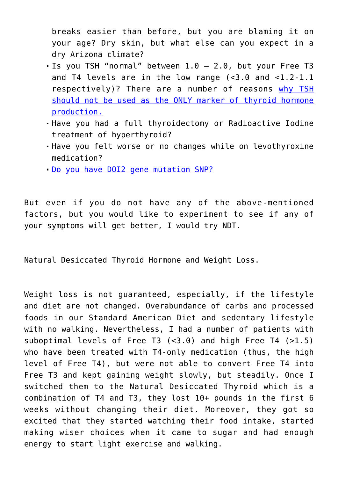breaks easier than before, but you are blaming it on your age? Dry skin, but what else can you expect in a dry Arizona climate?

- Is you TSH "normal" between 1.0 2.0, but your Free T3 and T4 levels are in the low range  $\leq 3.0$  and  $\leq 1.2 - 1.1$ respectively)? There are a number of reasons [why TSH](https://sproutshealth.com/why-tsh-is-not-the-best-marker-of-thyroid-function/) [should not be used as the ONLY marker of thyroid hormone](https://sproutshealth.com/why-tsh-is-not-the-best-marker-of-thyroid-function/) [production.](https://sproutshealth.com/why-tsh-is-not-the-best-marker-of-thyroid-function/)
- Have you had a full thyroidectomy or Radioactive Iodine treatment of hyperthyroid?
- Have you felt worse or no changes while on levothyroxine medication?
- [Do you have DOI2 gene mutation SNP?](https://www.ncbi.nlm.nih.gov/pubmed/19190113)

But even if you do not have any of the above-mentioned factors, but you would like to experiment to see if any of your symptoms will get better, I would try NDT.

Natural Desiccated Thyroid Hormone and Weight Loss.

Weight loss is not guaranteed, especially, if the lifestyle and diet are not changed. Overabundance of carbs and processed foods in our Standard American Diet and sedentary lifestyle with no walking. Nevertheless, I had a number of patients with suboptimal levels of Free T3 (<3.0) and high Free T4 (>1.5) who have been treated with T4-only medication (thus, the high level of Free T4), but were not able to convert Free T4 into Free T3 and kept gaining weight slowly, but steadily. Once I switched them to the Natural Desiccated Thyroid which is a combination of T4 and T3, they lost 10+ pounds in the first 6 weeks without changing their diet. Moreover, they got so excited that they started watching their food intake, started making wiser choices when it came to sugar and had enough energy to start light exercise and walking.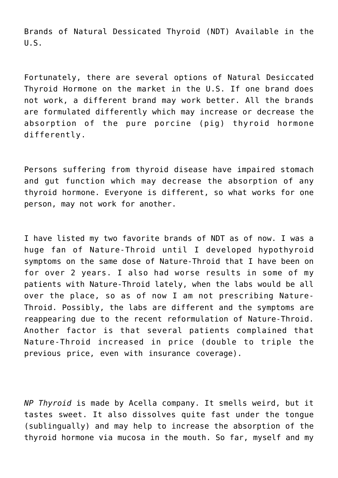Brands of Natural Dessicated Thyroid (NDT) Available in the U.S.

Fortunately, there are several options of Natural Desiccated Thyroid Hormone on the market in the U.S. If one brand does not work, a different brand may work better. All the brands are formulated differently which may increase or decrease the absorption of the pure porcine (pig) thyroid hormone differently.

Persons suffering from thyroid disease have impaired stomach and gut function which may decrease the absorption of any thyroid hormone. Everyone is different, so what works for one person, may not work for another.

I have listed my two favorite brands of NDT as of now. I was a huge fan of Nature-Throid until I developed hypothyroid symptoms on the same dose of Nature-Throid that I have been on for over 2 years. I also had worse results in some of my patients with Nature-Throid lately, when the labs would be all over the place, so as of now I am not prescribing Nature-Throid. Possibly, the labs are different and the symptoms are reappearing due to the recent reformulation of Nature-Throid. Another factor is that several patients complained that Nature-Throid increased in price (double to triple the previous price, even with insurance coverage).

*NP Thyroid* is made by Acella company. It smells weird, but it tastes sweet. It also dissolves quite fast under the tongue (sublingually) and may help to increase the absorption of the thyroid hormone via mucosa in the mouth. So far, myself and my